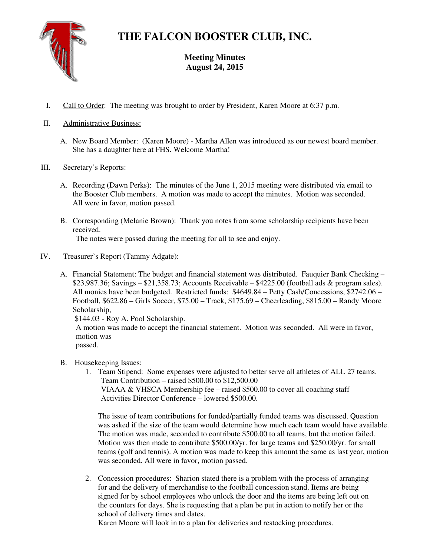**THE FALCON BOOSTER CLUB, INC.** 



# **Meeting Minutes August 24, 2015**

- I. Call to Order: The meeting was brought to order by President, Karen Moore at 6:37 p.m.
- II. Administrative Business:
	- A. New Board Member: (Karen Moore) Martha Allen was introduced as our newest board member. She has a daughter here at FHS. Welcome Martha!
- III. Secretary's Reports:
	- A. Recording (Dawn Perks): The minutes of the June 1, 2015 meeting were distributed via email to the Booster Club members. A motion was made to accept the minutes. Motion was seconded. All were in favor, motion passed.
	- B. Corresponding (Melanie Brown): Thank you notes from some scholarship recipients have been received. The notes were passed during the meeting for all to see and enjoy.
- IV. Treasurer's Report (Tammy Adgate):
	- A. Financial Statement: The budget and financial statement was distributed. Fauquier Bank Checking \$23,987.36; Savings – \$21,358.73; Accounts Receivable – \$4225.00 (football ads & program sales). All monies have been budgeted. Restricted funds: \$4649.84 – Petty Cash/Concessions, \$2742.06 – Football, \$622.86 – Girls Soccer, \$75.00 – Track, \$175.69 – Cheerleading, \$815.00 – Randy Moore Scholarship, \$144.03 - Roy A. Pool Scholarship. A motion was made to accept the financial statement. Motion was seconded. All were in favor, motion was

passed.

- B. Housekeeping Issues:
	- 1. Team Stipend: Some expenses were adjusted to better serve all athletes of ALL 27 teams. Team Contribution – raised \$500.00 to \$12,500.00 VIAAA & VHSCA Membership fee – raised \$500.00 to cover all coaching staff Activities Director Conference – lowered \$500.00.

The issue of team contributions for funded/partially funded teams was discussed. Question was asked if the size of the team would determine how much each team would have available. The motion was made, seconded to contribute \$500.00 to all teams, but the motion failed. Motion was then made to contribute \$500.00/yr. for large teams and \$250.00/yr. for small teams (golf and tennis). A motion was made to keep this amount the same as last year, motion was seconded. All were in favor, motion passed.

2. Concession procedures: Sharion stated there is a problem with the process of arranging for and the delivery of merchandise to the football concession stand. Items are being signed for by school employees who unlock the door and the items are being left out on the counters for days. She is requesting that a plan be put in action to notify her or the school of delivery times and dates.

Karen Moore will look in to a plan for deliveries and restocking procedures.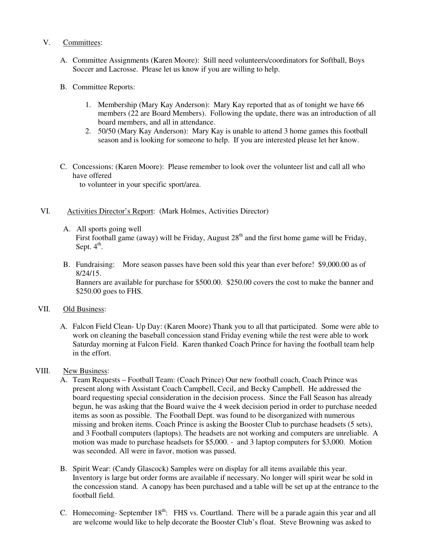## V. Committees:

- A. Committee Assignments (Karen Moore): Still need volunteers/coordinators for Softball, Boys Soccer and Lacrosse. Please let us know if you are willing to help.
- B. Committee Reports:
	- 1. Membership (Mary Kay Anderson): Mary Kay reported that as of tonight we have 66 members (22 are Board Members). Following the update, there was an introduction of all board members, and all in attendance.
	- 2. 50/50 (Mary Kay Anderson): Mary Kay is unable to attend 3 home games this football season and is looking for someone to help. If you are interested please let her know.
- C. Concessions: (Karen Moore): Please remember to look over the volunteer list and call all who have offered

to volunteer in your specific sport/area.

## VI. Activities Director's Report: (Mark Holmes, Activities Director)

A. All sports going well

First football game (away) will be Friday, August  $28<sup>th</sup>$  and the first home game will be Friday, Sept.  $4^{\text{th}}$ .

B. Fundraising: More season passes have been sold this year than ever before! \$9,000.00 as of 8/24/15.

Banners are available for purchase for \$500.00. \$250.00 covers the cost to make the banner and \$250.00 goes to FHS.

## VII. Old Business:

A. Falcon Field Clean- Up Day: (Karen Moore) Thank you to all that participated. Some were able to work on cleaning the baseball concession stand Friday evening while the rest were able to work Saturday morning at Falcon Field. Karen thanked Coach Prince for having the football team help in the effort.

## VIII. New Business:

- A. Team Requests Football Team: (Coach Prince) Our new football coach, Coach Prince was present along with Assistant Coach Campbell, Cecil, and Becky Campbell. He addressed the board requesting special consideration in the decision process. Since the Fall Season has already begun, he was asking that the Board waive the 4 week decision period in order to purchase needed items as soon as possible. The Football Dept. was found to be disorganized with numerous missing and broken items. Coach Prince is asking the Booster Club to purchase headsets (5 sets), and 3 Football computers (laptops). The headsets are not working and computers are unreliable. A motion was made to purchase headsets for \$5,000. - and 3 laptop computers for \$3,000. Motion was seconded. All were in favor, motion was passed.
- B. Spirit Wear: (Candy Glascock) Samples were on display for all items available this year. Inventory is large but order forms are available if necessary. No longer will spirit wear be sold in the concession stand. A canopy has been purchased and a table will be set up at the entrance to the football field.
- C. Homecoming- September  $18<sup>th</sup>$ : FHS vs. Courtland. There will be a parade again this year and all are welcome would like to help decorate the Booster Club's float. Steve Browning was asked to